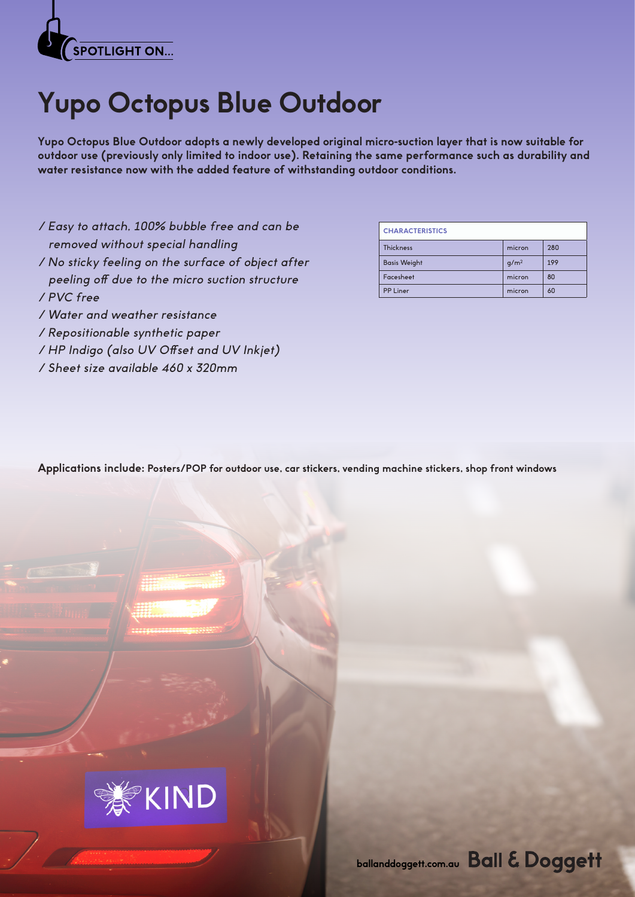

## **Yupo Octopus Blue Outdoor**

**Yupo Octopus Blue Outdoor adopts a newly developed original micro-suction layer that is now suitable for outdoor use (previously only limited to indoor use). Retaining the same performance such as durability and water resistance now with the added feature of withstanding outdoor conditions.** 

- / Easy to attach, 100% bubble free and can be removed without special handling
- / No sticky feeling on the surface of object after peeling off due to the micro suction structure / PVC free
- / Water and weather resistance
- / Repositionable synthetic paper
- / HP Indigo (also UV Offset and UV Inkjet)
- / Sheet size available 460 x 320mm

| <b>CHARACTERISTICS</b> |                  |     |
|------------------------|------------------|-----|
| <b>Thickness</b>       | micron           | 280 |
| <b>Basis Weight</b>    | q/m <sup>2</sup> | 199 |
| Facesheet              | micron           | 80  |
| <b>PP Liner</b>        | micron           | 60  |

**Applications include: Posters/POP for outdoor use, car stickers, vending machine stickers, shop front windows**